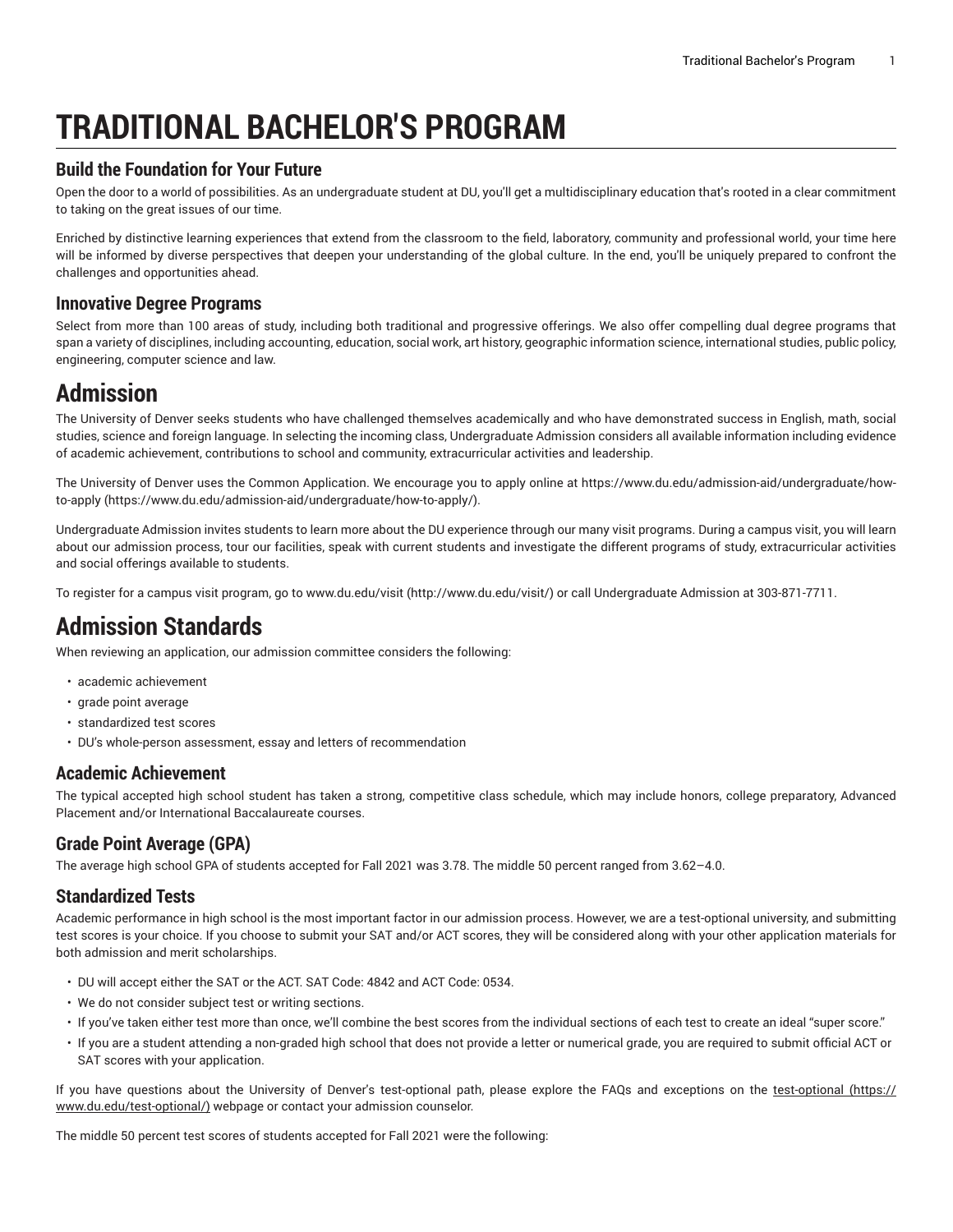# **TRADITIONAL BACHELOR'S PROGRAM**

### **Build the Foundation for Your Future**

Open the door to a world of possibilities. As an undergraduate student at DU, you'll get a multidisciplinary education that's rooted in a clear commitment to taking on the great issues of our time.

Enriched by distinctive learning experiences that extend from the classroom to the field, laboratory, community and professional world, your time here will be informed by diverse perspectives that deepen your understanding of the global culture. In the end, you'll be uniquely prepared to confront the challenges and opportunities ahead.

### **Innovative Degree Programs**

Select from more than 100 areas of study, including both traditional and progressive offerings. We also offer compelling dual degree programs that span a variety of disciplines, including accounting, education, social work, art history, geographic information science, international studies, public policy, engineering, computer science and law.

## **Admission**

The University of Denver seeks students who have challenged themselves academically and who have demonstrated success in English, math, social studies, science and foreign language. In selecting the incoming class, Undergraduate Admission considers all available information including evidence of academic achievement, contributions to school and community, extracurricular activities and leadership.

The University of Denver uses the Common Application. We encourage you to apply online at [https://www.du.edu/admission-aid/undergraduate/how](https://www.du.edu/admission-aid/undergraduate/how-to-apply/)[to-apply](https://www.du.edu/admission-aid/undergraduate/how-to-apply/) (<https://www.du.edu/admission-aid/undergraduate/how-to-apply/>).

Undergraduate Admission invites students to learn more about the DU experience through our many visit programs. During a campus visit, you will learn about our admission process, tour our facilities, speak with current students and investigate the different programs of study, extracurricular activities and social offerings available to students.

To register for a campus visit program, go to [www.du.edu/visit](http://www.du.edu/visit/) [\(http://www.du.edu/visit/](http://www.du.edu/visit/)) or call Undergraduate Admission at 303-871-7711.

## **Admission Standards**

When reviewing an application, our admission committee considers the following:

- academic achievement
- grade point average
- standardized test scores
- DU's whole-person assessment, essay and letters of recommendation

### **Academic Achievement**

The typical accepted high school student has taken a strong, competitive class schedule, which may include honors, college preparatory, Advanced Placement and/or International Baccalaureate courses.

### **Grade Point Average (GPA)**

The average high school GPA of students accepted for Fall 2021 was 3.78. The middle 50 percent ranged from 3.62–4.0.

### **Standardized Tests**

Academic performance in high school is the most important factor in our admission process. However, we are a test-optional university, and submitting test scores is your choice. If you choose to submit your SAT and/or ACT scores, they will be considered along with your other application materials for both admission and merit scholarships.

- DU will accept either the SAT or the ACT. SAT Code: 4842 and ACT Code: 0534.
- We do not consider subject test or writing sections.
- If you've taken either test more than once, we'll combine the best scores from the individual sections of each test to create an ideal "super score."
- If you are a student attending a non-graded high school that does not provide a letter or numerical grade, you are required to submit official ACT or SAT scores with your application.

If you have questions about the University of Denver's [test-optional](https://www.du.edu/test-optional/) path, please explore the FAQs and exceptions on the test-optional ([https://](https://www.du.edu/test-optional/) [www.du.edu/test-optional/](https://www.du.edu/test-optional/)) webpage or contact your admission counselor.

The middle 50 percent test scores of students accepted for Fall 2021 were the following: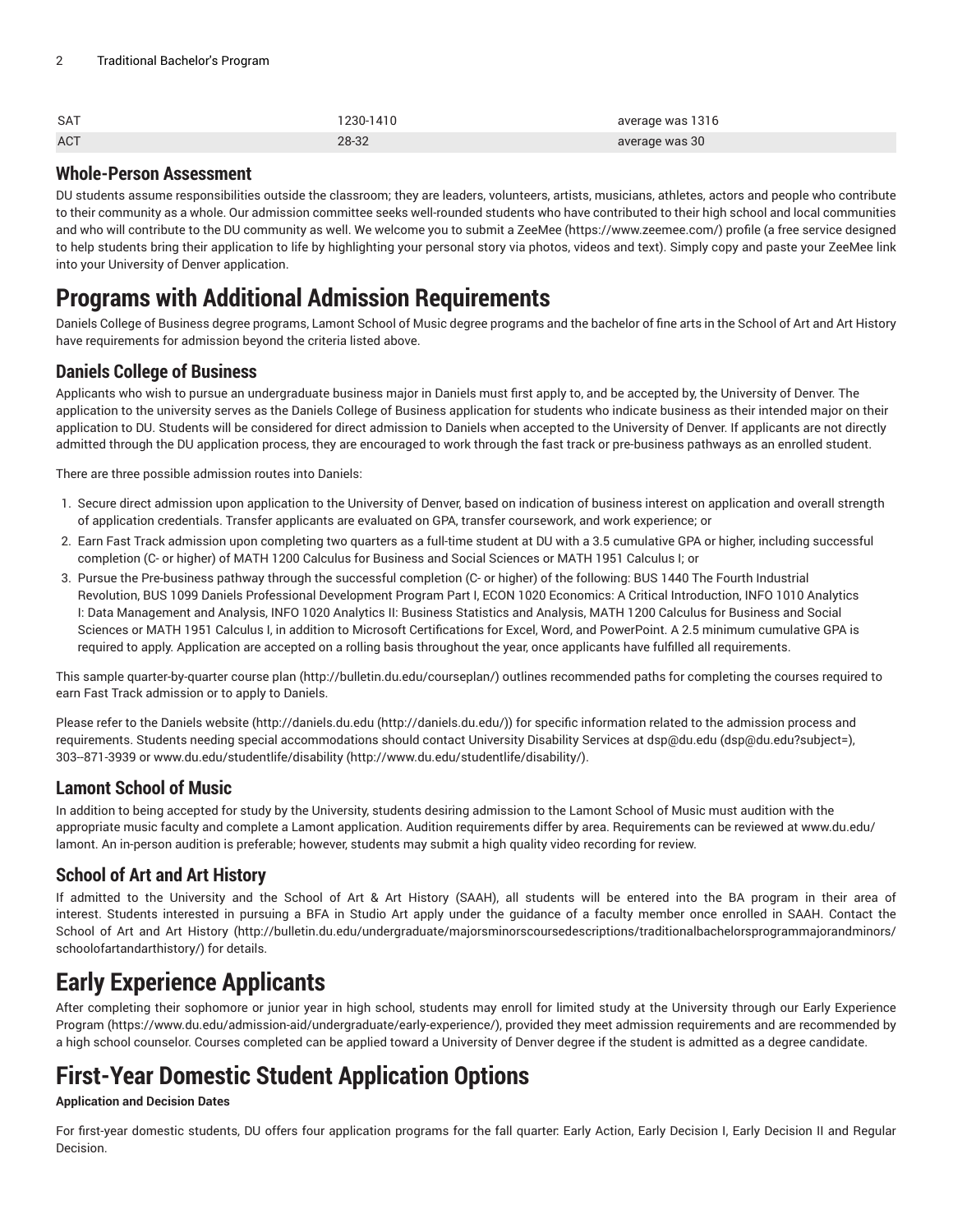| <b>SAT</b> | 230-1410 | average was 1316 |
|------------|----------|------------------|
| <b>ACT</b> | 28-32    | average was 30   |

### **Whole-Person Assessment**

DU students assume responsibilities outside the classroom; they are leaders, volunteers, artists, musicians, athletes, actors and people who contribute to their community as a whole. Our admission committee seeks well-rounded students who have contributed to their high school and local communities and who will contribute to the DU community as well. We welcome you to submit a [ZeeMee](https://www.zeemee.com/) ([https://www.zeemee.com/\)](https://www.zeemee.com/) profile (a free service designed to help students bring their application to life by highlighting your personal story via photos, videos and text). Simply copy and paste your ZeeMee link into your University of Denver application.

## **Programs with Additional Admission Requirements**

Daniels College of Business degree programs, Lamont School of Music degree programs and the bachelor of fine arts in the School of Art and Art History have requirements for admission beyond the criteria listed above.

## **Daniels College of Business**

Applicants who wish to pursue an undergraduate business major in Daniels must first apply to, and be accepted by, the University of Denver. The application to the university serves as the Daniels College of Business application for students who indicate business as their intended major on their application to DU. Students will be considered for direct admission to Daniels when accepted to the University of Denver. If applicants are not directly admitted through the DU application process, they are encouraged to work through the fast track or pre-business pathways as an enrolled student.

There are three possible admission routes into Daniels:

- 1. Secure direct admission upon application to the University of Denver, based on indication of business interest on application and overall strength of application credentials. Transfer applicants are evaluated on GPA, transfer coursework, and work experience; or
- 2. Earn Fast Track admission upon completing two quarters as a full-time student at DU with a 3.5 cumulative GPA or higher, including successful completion (C- or higher) of MATH 1200 Calculus for Business and Social Sciences or MATH 1951 Calculus I; or
- 3. Pursue the Pre-business pathway through the successful completion (C- or higher) of the following: BUS 1440 The Fourth Industrial Revolution, BUS 1099 Daniels Professional Development Program Part I, ECON 1020 Economics: A Critical Introduction, INFO 1010 Analytics I: Data Management and Analysis, INFO 1020 Analytics II: Business Statistics and Analysis, MATH 1200 Calculus for Business and Social Sciences or MATH 1951 Calculus I, in addition to Microsoft Certifications for Excel, Word, and PowerPoint. A 2.5 minimum cumulative GPA is required to apply. Application are accepted on a rolling basis throughout the year, once applicants have fulfilled all requirements.

This sample quarter-by-quarter [course plan \(http://bulletin.du.edu/courseplan/](http://bulletin.du.edu/courseplan/)) outlines recommended paths for completing the courses required to earn Fast Track admission or to apply to Daniels.

Please refer to the Daniels website ([http://daniels.du.edu](http://daniels.du.edu/) [\(http://daniels.du.edu/](http://daniels.du.edu/))) for specific information related to the admission process and requirements. Students needing special accommodations should contact University Disability Services at [dsp@du.edu](mailto:dsp@du.edu?subject=) [\(dsp@du.edu?subject=](dsp@du.edu?subject=)), 303-871-3939 or [www.du.edu/studentlife/disability \(http://www.du.edu/studentlife/disability/\)](http://www.du.edu/studentlife/disability/).

## **Lamont School of Music**

In addition to being accepted for study by the University, students desiring admission to the Lamont School of Music must audition with the appropriate music faculty and complete a Lamont application. Audition requirements differ by area. Requirements can be reviewed at www.du.edu/ lamont. An in-person audition is preferable; however, students may submit a high quality video recording for review.

## **School of Art and Art History**

If admitted to the University and the School of Art & Art History (SAAH), all students will be entered into the BA program in their area of interest. Students interested in pursuing a BFA in Studio Art apply under the guidance of a faculty member once enrolled in SAAH. Contact the School of Art and Art [History](http://bulletin.du.edu/undergraduate/majorsminorscoursedescriptions/traditionalbachelorsprogrammajorandminors/schoolofartandarthistory/) ([http://bulletin.du.edu/undergraduate/majorsminorscoursedescriptions/traditionalbachelorsprogrammajorandminors/](http://bulletin.du.edu/undergraduate/majorsminorscoursedescriptions/traditionalbachelorsprogrammajorandminors/schoolofartandarthistory/) [schoolofartandarthistory/\)](http://bulletin.du.edu/undergraduate/majorsminorscoursedescriptions/traditionalbachelorsprogrammajorandminors/schoolofartandarthistory/) for details.

## **Early Experience Applicants**

After completing their sophomore or junior year in high school, students may enroll for limited study at the University through our [Early Experience](https://www.du.edu/admission-aid/undergraduate/early-experience/) [Program](https://www.du.edu/admission-aid/undergraduate/early-experience/) (<https://www.du.edu/admission-aid/undergraduate/early-experience/>), provided they meet admission requirements and are recommended by a high school counselor. Courses completed can be applied toward a University of Denver degree if the student is admitted as a degree candidate.

## **First-Year Domestic Student Application Options**

### **Application and Decision Dates**

For first-year domestic students, DU offers four application programs for the fall quarter: Early Action, Early Decision I, Early Decision II and Regular Decision.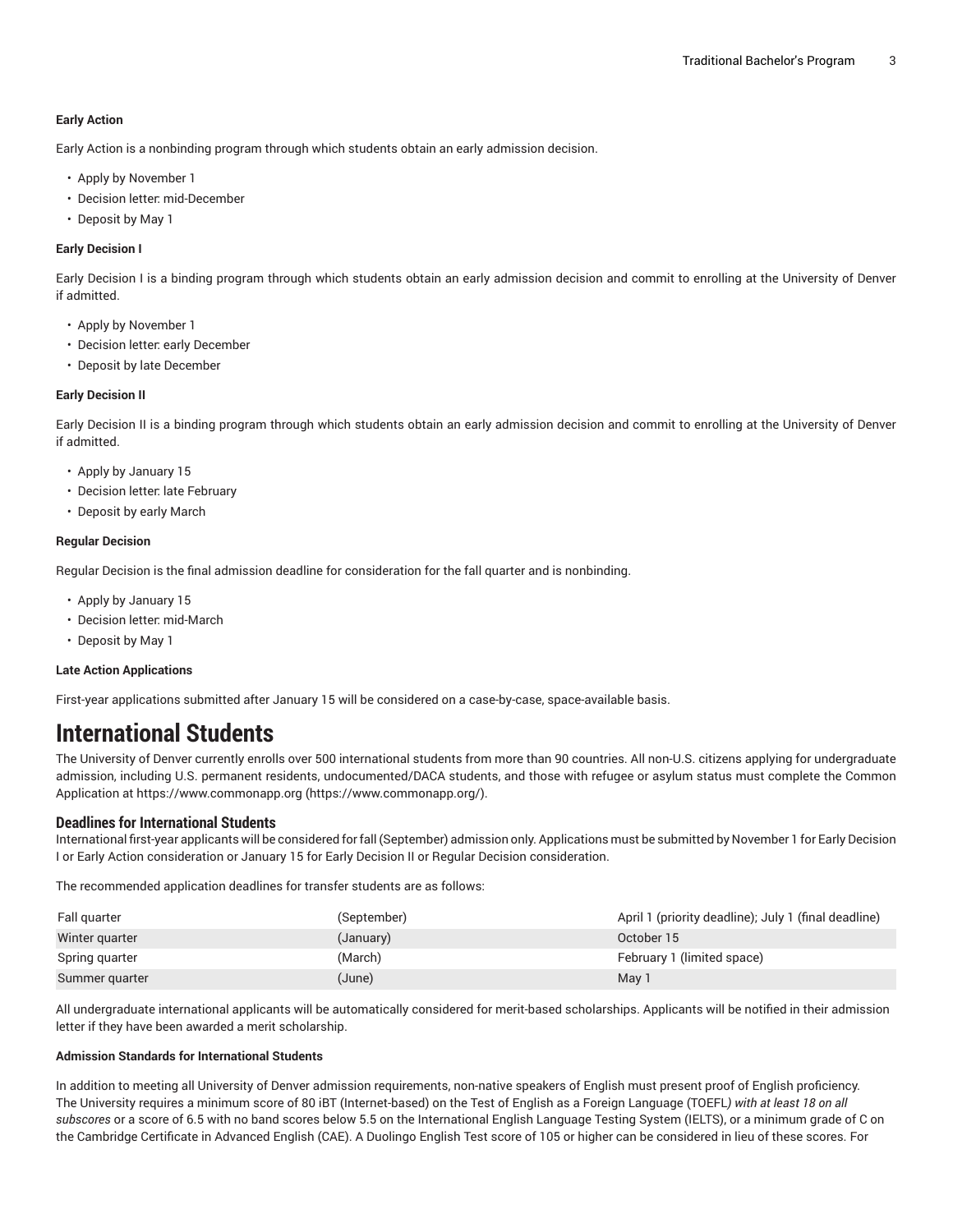#### **Early Action**

Early Action is a nonbinding program through which students obtain an early admission decision.

- Apply by November 1
- Decision letter: mid-December
- Deposit by May 1

#### **Early Decision I**

Early Decision I is a binding program through which students obtain an early admission decision and commit to enrolling at the University of Denver if admitted.

- Apply by November 1
- Decision letter: early December
- Deposit by late December

#### **Early Decision II**

Early Decision II is a binding program through which students obtain an early admission decision and commit to enrolling at the University of Denver if admitted.

- Apply by January 15
- Decision letter: late February
- Deposit by early March

#### **Regular Decision**

Regular Decision is the final admission deadline for consideration for the fall quarter and is nonbinding.

- Apply by January 15
- Decision letter: mid-March
- Deposit by May 1

#### **Late Action Applications**

First-year applications submitted after January 15 will be considered on a case-by-case, space-available basis.

## **International Students**

The University of Denver currently enrolls over 500 international students from more than 90 countries. All non-U.S. citizens applying for undergraduate admission, including U.S. permanent residents, undocumented/DACA students, and those with refugee or asylum status must complete the Common Application at [https://www.commonapp.org](https://www.commonapp.org/) ([https://www.commonapp.org/\)](https://www.commonapp.org/).

#### **Deadlines for International Students**

International first-year applicants will be considered forfall (September) admission only. Applications must be submitted by November 1 for Early Decision I or Early Action consideration or January 15 for Early Decision II or Regular Decision consideration.

The recommended application deadlines for transfer students are as follows:

| Fall guarter   | (September) | April 1 (priority deadline); July 1 (final deadline) |
|----------------|-------------|------------------------------------------------------|
| Winter quarter | (January)   | October 15                                           |
| Spring quarter | (March)     | February 1 (limited space)                           |
| Summer guarter | (June)      | May 1                                                |

All undergraduate international applicants will be automatically considered for merit-based scholarships. Applicants will be notified in their admission letter if they have been awarded a merit scholarship.

#### **Admission Standards for International Students**

In addition to meeting all University of Denver admission requirements, non-native speakers of English must present proof of English proficiency. The University requires a minimum score of 80 iBT (Internet-based) on the Test of English as a Foreign Language (TOEFL*) with at least 18 on all subscores* or a score of 6.5 with no band scores below 5.5 on the International English Language Testing System (IELTS), or a minimum grade of C on the Cambridge Certificate in Advanced English (CAE). A Duolingo English Test score of 105 or higher can be considered in lieu of these scores. For